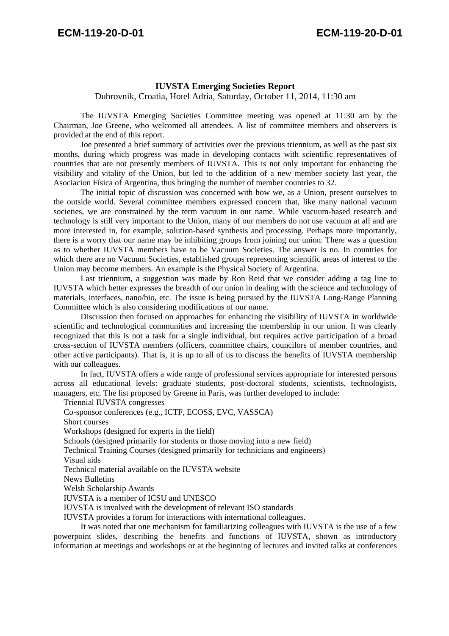## **IUVSTA Emerging Societies Report**

Dubrovnik, Croatia, Hotel Adria, Saturday, October 11, 2014, 11:30 am

 The IUVSTA Emerging Societies Committee meeting was opened at 11:30 am by the Chairman, Joe Greene, who welcomed all attendees. A list of committee members and observers is provided at the end of this report.

 Joe presented a brief summary of activities over the previous triennium, as well as the past six months, during which progress was made in developing contacts with scientific representatives of countries that are not presently members of IUVSTA. This is not only important for enhancing the visibility and vitality of the Union, but led to the addition of a new member society last year, the Asociacion Física of Argentina, thus bringing the number of member countries to 32.

 The initial topic of discussion was concerned with how we, as a Union, present ourselves to the outside world. Several committee members expressed concern that, like many national vacuum societies, we are constrained by the term vacuum in our name. While vacuum-based research and technology is still very important to the Union, many of our members do not use vacuum at all and are more interested in, for example, solution-based synthesis and processing. Perhaps more importantly, there is a worry that our name may be inhibiting groups from joining our union. There was a question as to whether IUVSTA members have to be Vacuum Societies. The answer is no. In countries for which there are no Vacuum Societies, established groups representing scientific areas of interest to the Union may become members. An example is the Physical Society of Argentina.

 Last triennium, a suggestion was made by Ron Reid that we consider adding a tag line to IUVSTA which better expresses the breadth of our union in dealing with the science and technology of materials, interfaces, nano/bio, etc. The issue is being pursued by the IUVSTA Long-Range Planning Committee which is also considering modifications of our name.

Discussion then focused on approaches for enhancing the visibility of IUVSTA in worldwide scientific and technological communities and increasing the membership in our union. It was clearly recognized that this is not a task for a single individual, but requires active participation of a broad cross-section of IUVSTA members (officers, committee chairs, councilors of member countries, and other active participants). That is, it is up to all of us to discuss the benefits of IUVSTA membership with our colleagues.

 In fact, IUVSTA offers a wide range of professional services appropriate for interested persons across all educational levels: graduate students, post-doctoral students, scientists, technologists, managers, etc. The list proposed by Greene in Paris, was further developed to include:

Triennial IUVSTA congresses

 Co-sponsor conferences (e.g., ICTF, ECOSS, EVC, VASSCA) Short courses Workshops (designed for experts in the field) Schools (designed primarily for students or those moving into a new field) Technical Training Courses (designed primarily for technicians and engineers) Visual aids Technical material available on the IUVSTA website News Bulletins Welsh Scholarship Awards IUVSTA is a member of ICSU and UNESCO IUVSTA is involved with the development of relevant ISO standards IUVSTA provides a forum for interactions with international colleagues. It was noted that one mechanism for familiarizing colleagues with IUVSTA is the use of a few

powerpoint slides, describing the benefits and functions of IUVSTA, shown as introductory information at meetings and workshops or at the beginning of lectures and invited talks at conferences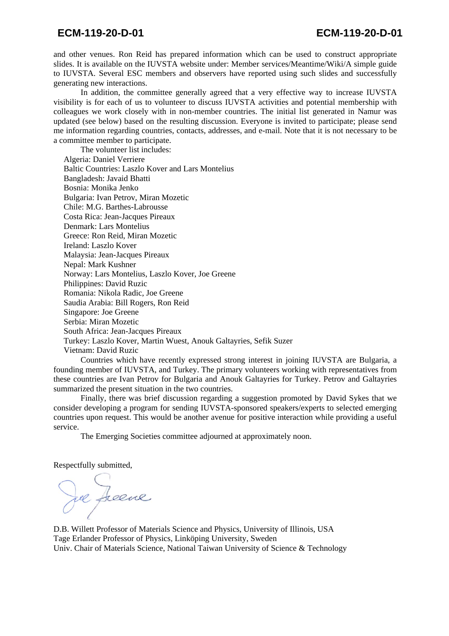and other venues. Ron Reid has prepared information which can be used to construct appropriate slides. It is available on the IUVSTA website under: Member services/Meantime/Wiki/A simple guide to IUVSTA. Several ESC members and observers have reported using such slides and successfully generating new interactions.

 In addition, the committee generally agreed that a very effective way to increase IUVSTA visibility is for each of us to volunteer to discuss IUVSTA activities and potential membership with colleagues we work closely with in non-member countries. The initial list generated in Namur was updated (see below) based on the resulting discussion. Everyone is invited to participate; please send me information regarding countries, contacts, addresses, and e-mail. Note that it is not necessary to be a committee member to participate.

 The volunteer list includes: Algeria: Daniel Verriere Baltic Countries: Laszlo Kover and Lars Montelius Bangladesh: Javaid Bhatti Bosnia: Monika Jenko Bulgaria: Ivan Petrov, Miran Mozetic Chile: M.G. Barthes-Labrousse Costa Rica: Jean-Jacques Pireaux Denmark: Lars Montelius Greece: Ron Reid, Miran Mozetic Ireland: Laszlo Kover Malaysia: Jean-Jacques Pireaux Nepal: Mark Kushner Norway: Lars Montelius, Laszlo Kover, Joe Greene Philippines: David Ruzic Romania: Nikola Radic, Joe Greene Saudia Arabia: Bill Rogers, Ron Reid Singapore: Joe Greene Serbia: Miran Mozetic South Africa: Jean-Jacques Pireaux Turkey: Laszlo Kover, Martin Wuest, Anouk Galtayries, Sefik Suzer Vietnam: David Ruzic

 Countries which have recently expressed strong interest in joining IUVSTA are Bulgaria, a founding member of IUVSTA, and Turkey. The primary volunteers working with representatives from these countries are Ivan Petrov for Bulgaria and Anouk Galtayries for Turkey. Petrov and Galtayries summarized the present situation in the two countries.

 Finally, there was brief discussion regarding a suggestion promoted by David Sykes that we consider developing a program for sending IUVSTA-sponsored speakers/experts to selected emerging countries upon request. This would be another avenue for positive interaction while providing a useful service.

The Emerging Societies committee adjourned at approximately noon.

Respectfully submitted,

re Jeeve

D.B. Willett Professor of Materials Science and Physics, University of Illinois, USA Tage Erlander Professor of Physics, Linköping University, Sweden Univ. Chair of Materials Science, National Taiwan University of Science & Technology